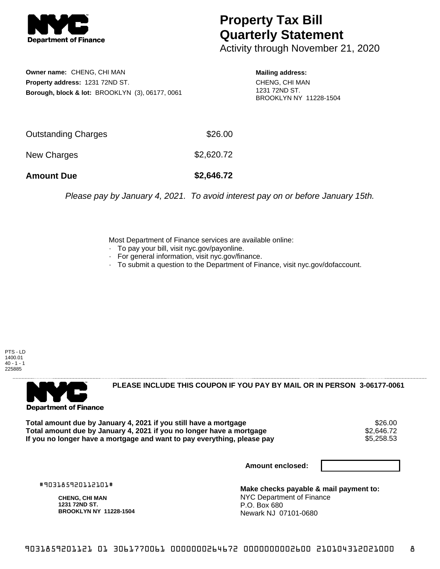

## **Property Tax Bill Quarterly Statement**

Activity through November 21, 2020

**Owner name:** CHENG, CHI MAN **Property address:** 1231 72ND ST. **Borough, block & lot:** BROOKLYN (3), 06177, 0061

**Mailing address:** CHENG, CHI MAN 1231 72ND ST. BROOKLYN NY 11228-1504

| <b>Amount Due</b>   | \$2,646.72 |
|---------------------|------------|
| New Charges         | \$2,620.72 |
| Outstanding Charges | \$26.00    |

Please pay by January 4, 2021. To avoid interest pay on or before January 15th.

Most Department of Finance services are available online:

- · To pay your bill, visit nyc.gov/payonline.
- For general information, visit nyc.gov/finance.
- · To submit a question to the Department of Finance, visit nyc.gov/dofaccount.

PTS - LD 1400.01  $40 - 1 - 1$ 225885



**PLEASE INCLUDE THIS COUPON IF YOU PAY BY MAIL OR IN PERSON 3-06177-0061** 

Total amount due by January 4, 2021 if you still have a mortgage \$26.00<br>Total amount due by January 4, 2021 if you no longer have a mortgage \$2.646.72 **Total amount due by January 4, 2021 if you no longer have a mortgage**  $$2,646.72$$ **<br>If you no longer have a mortgage and want to pay everything, please pay** If you no longer have a mortgage and want to pay everything, please pay

**Amount enclosed:**

#903185920112101#

**CHENG, CHI MAN 1231 72ND ST. BROOKLYN NY 11228-1504**

**Make checks payable & mail payment to:** NYC Department of Finance P.O. Box 680 Newark NJ 07101-0680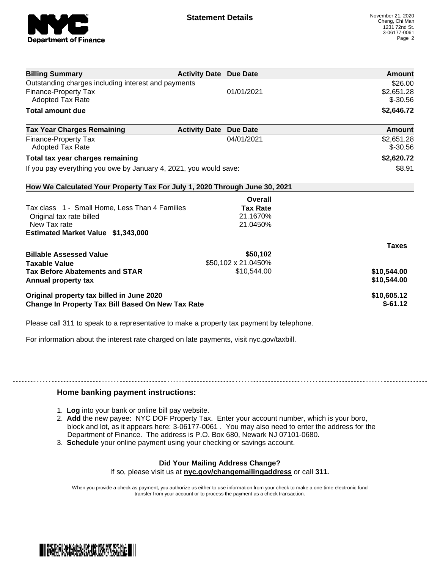

| <b>Billing Summary</b>                                                     | <b>Activity Date Due Date</b> |                     | Amount       |
|----------------------------------------------------------------------------|-------------------------------|---------------------|--------------|
| Outstanding charges including interest and payments                        |                               |                     | \$26.00      |
| Finance-Property Tax                                                       |                               | 01/01/2021          | \$2,651.28   |
| Adopted Tax Rate                                                           |                               |                     | $$ -30.56$   |
| <b>Total amount due</b>                                                    |                               |                     | \$2,646.72   |
| <b>Tax Year Charges Remaining</b>                                          | <b>Activity Date</b>          | <b>Due Date</b>     | Amount       |
| Finance-Property Tax                                                       |                               | 04/01/2021          | \$2,651.28   |
| <b>Adopted Tax Rate</b>                                                    |                               |                     | $$ -30.56$   |
| Total tax year charges remaining                                           |                               |                     | \$2,620.72   |
| If you pay everything you owe by January 4, 2021, you would save:          |                               |                     | \$8.91       |
| How We Calculated Your Property Tax For July 1, 2020 Through June 30, 2021 |                               |                     |              |
|                                                                            |                               | Overall             |              |
| Tax class 1 - Small Home, Less Than 4 Families                             |                               | <b>Tax Rate</b>     |              |
| Original tax rate billed                                                   |                               | 21.1670%            |              |
| New Tax rate                                                               |                               | 21.0450%            |              |
| Estimated Market Value \$1,343,000                                         |                               |                     |              |
|                                                                            |                               |                     | <b>Taxes</b> |
| <b>Billable Assessed Value</b>                                             |                               | \$50,102            |              |
| <b>Taxable Value</b>                                                       |                               | \$50,102 x 21.0450% |              |
| <b>Tax Before Abatements and STAR</b>                                      |                               | \$10,544.00         | \$10,544.00  |
| Annual property tax                                                        |                               |                     | \$10,544.00  |
| Original property tax billed in June 2020                                  |                               |                     | \$10,605.12  |
| Change In Property Tax Bill Based On New Tax Rate                          |                               |                     | $$-61.12$    |

Please call 311 to speak to a representative to make a property tax payment by telephone.

For information about the interest rate charged on late payments, visit nyc.gov/taxbill.

## **Home banking payment instructions:**

- 1. **Log** into your bank or online bill pay website.
- 2. **Add** the new payee: NYC DOF Property Tax. Enter your account number, which is your boro, block and lot, as it appears here: 3-06177-0061 . You may also need to enter the address for the Department of Finance. The address is P.O. Box 680, Newark NJ 07101-0680.
- 3. **Schedule** your online payment using your checking or savings account.

## **Did Your Mailing Address Change?**

If so, please visit us at **nyc.gov/changemailingaddress** or call **311.**

When you provide a check as payment, you authorize us either to use information from your check to make a one-time electronic fund transfer from your account or to process the payment as a check transaction.